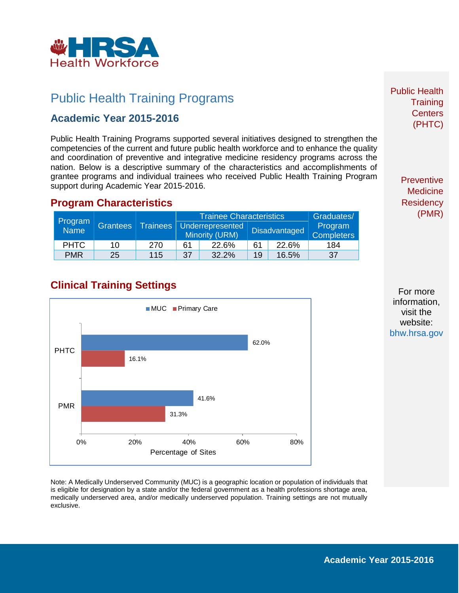

## Public Health Training Programs

#### **Academic Year 2015-2016**

Public Health Training Programs supported several initiatives designed to strengthen the competencies of the current and future public health workforce and to enhance the quality and coordination of preventive and integrative medicine residency programs across the nation. Below is a descriptive summary of the characteristics and accomplishments of grantee programs and individual trainees who received Public Health Training Program support during Academic Year 2015-2016.

#### **Program Characteristics**

| Program<br>Name <sup>1</sup> | <b>Grantees</b> | Trainees | <b>Trainee Characteristics</b>            |       |                      |       | Graduates/                   |
|------------------------------|-----------------|----------|-------------------------------------------|-------|----------------------|-------|------------------------------|
|                              |                 |          | Underrepresented<br><b>Minority (URM)</b> |       | <b>Disadvantaged</b> |       | Program<br><b>Completers</b> |
| <b>PHTC</b>                  | 10              | 270      | 61                                        | 22.6% | 61                   | 22.6% | 184                          |
| <b>PMR</b>                   | 25              | 115      | 37                                        | 32.2% | 19                   | 16.5% | 37                           |

## **Clinical Training Settings**



Note: A Medically Underserved Community (MUC) is a geographic location or population of individuals that is eligible for designation by a state and/or the federal government as a health professions shortage area, medically underserved area, and/or medically underserved population. Training settings are not mutually exclusive.

Public Health **Training Centers** (PHTC)

> **Preventive Medicine Residency** (PMR)

For more information, visit the website: [bhw.hrsa.gov](http://bhw.hrsa.gov/)